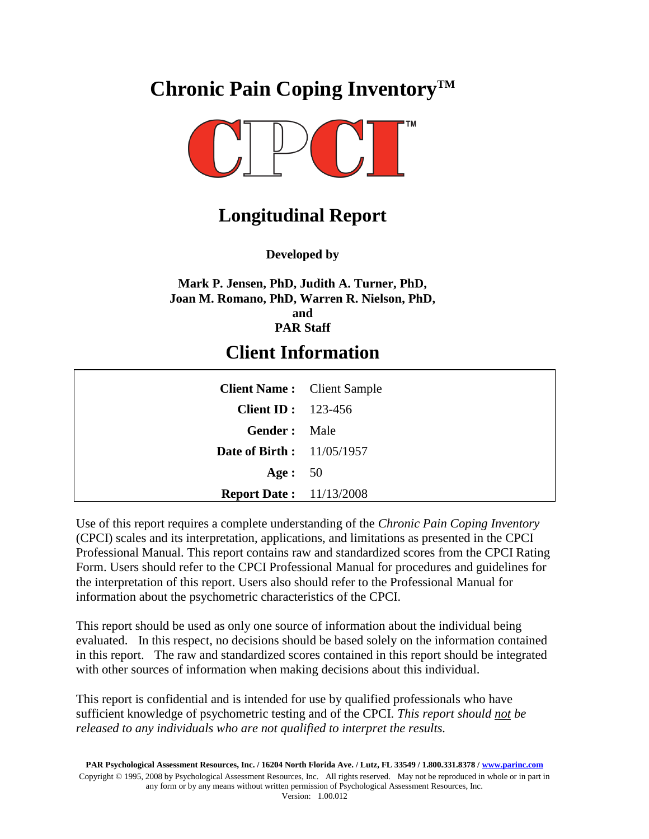# **Chronic Pain Coping InventoryTM**



### **Longitudinal Report**

**Developed by**

**Mark P. Jensen, PhD, Judith A. Turner, PhD, Joan M. Romano, PhD, Warren R. Nielson, PhD, and PAR Staff**

### **Client Information**

| <b>Client Name:</b> Client Sample |  |
|-----------------------------------|--|
| Client ID: $123-456$              |  |
| <b>Gender:</b> Male               |  |
| <b>Date of Birth :</b> 11/05/1957 |  |
| Age: $50$                         |  |
| <b>Report Date:</b> 11/13/2008    |  |

Use of this report requires a complete understanding of the *Chronic Pain Coping Inventory*  (CPCI) scales and its interpretation, applications, and limitations as presented in the CPCI Professional Manual. This report contains raw and standardized scores from the CPCI Rating Form. Users should refer to the CPCI Professional Manual for procedures and guidelines for the interpretation of this report. Users also should refer to the Professional Manual for information about the psychometric characteristics of the CPCI.

This report should be used as only one source of information about the individual being evaluated. In this respect, no decisions should be based solely on the information contained in this report. The raw and standardized scores contained in this report should be integrated with other sources of information when making decisions about this individual.

This report is confidential and is intended for use by qualified professionals who have sufficient knowledge of psychometric testing and of the CPCI. *This report should not be released to any individuals who are not qualified to interpret the results.*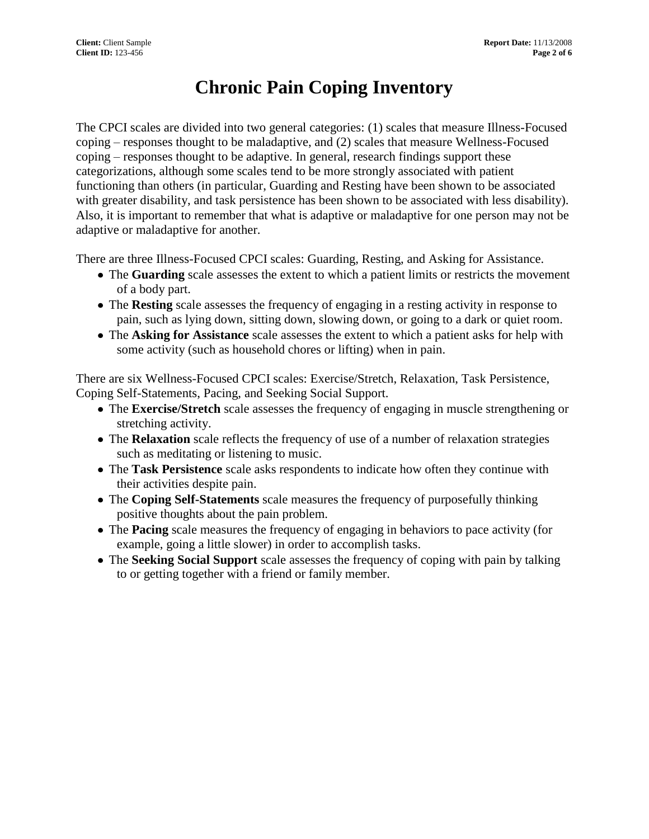## **Chronic Pain Coping Inventory**

The CPCI scales are divided into two general categories: (1) scales that measure Illness-Focused coping – responses thought to be maladaptive, and (2) scales that measure Wellness-Focused coping – responses thought to be adaptive. In general, research findings support these categorizations, although some scales tend to be more strongly associated with patient functioning than others (in particular, Guarding and Resting have been shown to be associated with greater disability, and task persistence has been shown to be associated with less disability). Also, it is important to remember that what is adaptive or maladaptive for one person may not be adaptive or maladaptive for another.

There are three Illness-Focused CPCI scales: Guarding, Resting, and Asking for Assistance.

- The **Guarding** scale assesses the extent to which a patient limits or restricts the movement of a body part.
- The **Resting** scale assesses the frequency of engaging in a resting activity in response to pain, such as lying down, sitting down, slowing down, or going to a dark or quiet room.
- The **Asking for Assistance** scale assesses the extent to which a patient asks for help with some activity (such as household chores or lifting) when in pain.

There are six Wellness-Focused CPCI scales: Exercise/Stretch, Relaxation, Task Persistence, Coping Self-Statements, Pacing, and Seeking Social Support.

- The **Exercise/Stretch** scale assesses the frequency of engaging in muscle strengthening or stretching activity.
- The **Relaxation** scale reflects the frequency of use of a number of relaxation strategies such as meditating or listening to music.
- The **Task Persistence** scale asks respondents to indicate how often they continue with their activities despite pain.
- The **Coping Self-Statements** scale measures the frequency of purposefully thinking positive thoughts about the pain problem.
- The **Pacing** scale measures the frequency of engaging in behaviors to pace activity (for example, going a little slower) in order to accomplish tasks.
- The **Seeking Social Support** scale assesses the frequency of coping with pain by talking to or getting together with a friend or family member.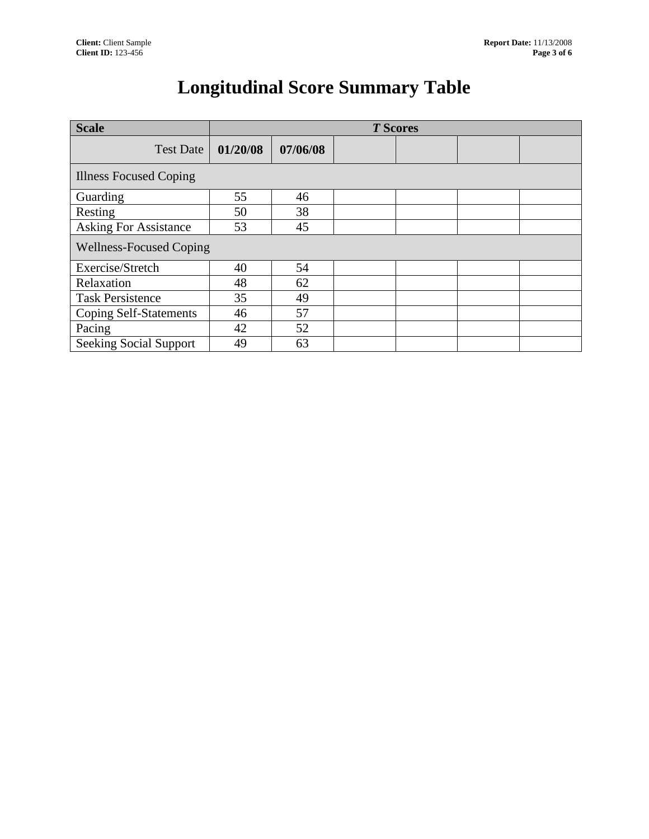# **Longitudinal Score Summary Table**

| <b>Scale</b>                   | <b>T</b> Scores |          |  |  |  |  |  |  |
|--------------------------------|-----------------|----------|--|--|--|--|--|--|
| <b>Test Date</b>               | 01/20/08        | 07/06/08 |  |  |  |  |  |  |
| <b>Illness Focused Coping</b>  |                 |          |  |  |  |  |  |  |
| Guarding                       | 55              | 46       |  |  |  |  |  |  |
| Resting                        | 50              | 38       |  |  |  |  |  |  |
| <b>Asking For Assistance</b>   | 53              | 45       |  |  |  |  |  |  |
| <b>Wellness-Focused Coping</b> |                 |          |  |  |  |  |  |  |
| Exercise/Stretch               | 40              | 54       |  |  |  |  |  |  |
| Relaxation                     | 48              | 62       |  |  |  |  |  |  |
| <b>Task Persistence</b>        | 35              | 49       |  |  |  |  |  |  |
| <b>Coping Self-Statements</b>  | 46              | 57       |  |  |  |  |  |  |
| Pacing                         | 42              | 52       |  |  |  |  |  |  |
| <b>Seeking Social Support</b>  | 49              | 63       |  |  |  |  |  |  |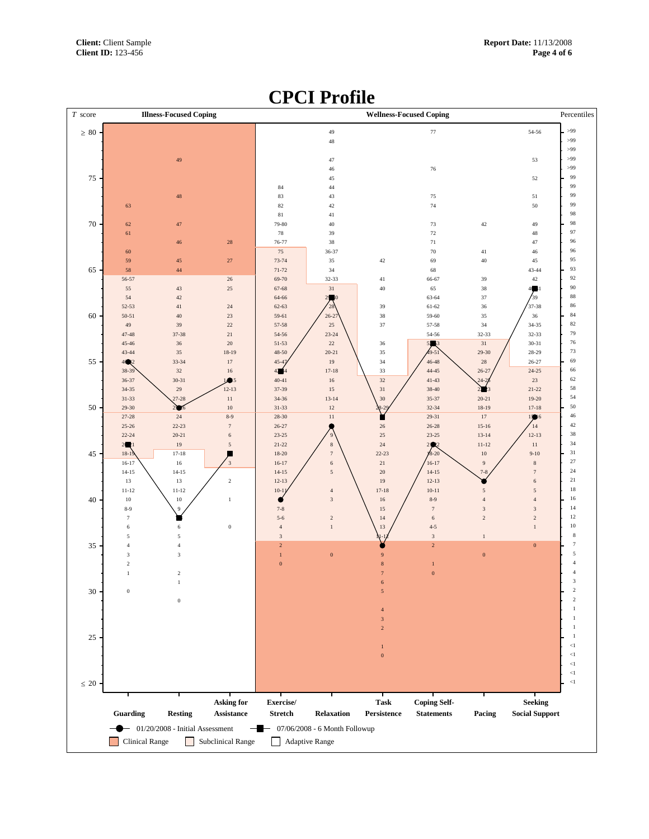### *T* score **Illness-Focused Coping Wellness-Focused Coping**  $\leq$  20  $\geq 80$ Percentiles  $<\!\!1$  $\leq 1$  $\leq$ 1  $\mathord{<}1$  $<\!1$  >99 >99 >99 >99 >99  **Asking for Exercise/ Task Coping Self- Seeking Guarding Resting Assistance Stretch Relaxation Persistence Statements Pacing Social Support**  $\overline{2}$  8-9 11-12 14-15 16-17 18-19 22-24 25-26 27-28 29-30 31-33 34-35 36-37 38-39 43-44 45-46 47-48 50-51 52-53 56-57  $\theta$  7-8 11-12 14-15 17-18 20-21 22-23 25-26 27-28 30-31 33-34 37-38 8-9 12-13  $\bullet$  18-19  $\alpha$  5-6 7-8  $\leq$  $10-11$ 12-13 14-15 16-17 18-20 21-22 23-25 26-27 28-30 31-33 34-36 37-39 40-41  $4\blacksquare$  $45 - 47$ 48-50 51-53 54-56 57-58 59-61 62-63 64-66 67-68 69-70 71-72 73-74 76-77 79-80  $\bullet$  13-14 17-18 20-21 23-24 26-27 32-33 36-37  $\overline{0}$  14-12 17-18 22-23 ۱. 28-29  $\mathbf{0}$  4-5 8-9 10-11 12-13 14-15 .<br>16-17  $\frac{1}{8-20}$ 21-22 23-25 26-28 29-31 32-34 35-37 38-40 41-43 44-45 46-48 49-51 52-53 54-56 57-58 59-60 61-62 63-64 66-67 7-8 11-12 13-14 15-16 18-19 20-21  $24 - 25$ 26-27 29-30 32-33  $\overline{0}$  9-10 12-13 15-16 17-18 19-20 21-22 24-25 26-27 28-29 30-31 32-33 34-35 37-38 40-41 43-44 54-56 - 01/20/2008 - Initial Assessment - - 07/06/2008 - 6 Month Followup Clinical Range Subclinical Range Adaptive Range

### **CPCI Profile**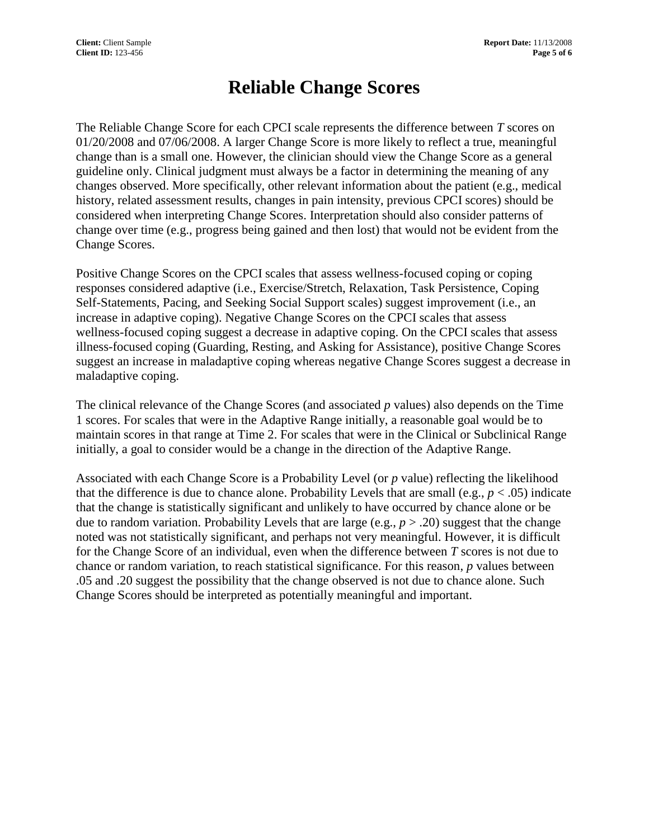## **Reliable Change Scores**

The Reliable Change Score for each CPCI scale represents the difference between *T* scores on 01/20/2008 and 07/06/2008. A larger Change Score is more likely to reflect a true, meaningful change than is a small one. However, the clinician should view the Change Score as a general guideline only. Clinical judgment must always be a factor in determining the meaning of any changes observed. More specifically, other relevant information about the patient (e.g., medical history, related assessment results, changes in pain intensity, previous CPCI scores) should be considered when interpreting Change Scores. Interpretation should also consider patterns of change over time (e.g., progress being gained and then lost) that would not be evident from the Change Scores.

Positive Change Scores on the CPCI scales that assess wellness-focused coping or coping responses considered adaptive (i.e., Exercise/Stretch, Relaxation, Task Persistence, Coping Self-Statements, Pacing, and Seeking Social Support scales) suggest improvement (i.e., an increase in adaptive coping). Negative Change Scores on the CPCI scales that assess wellness-focused coping suggest a decrease in adaptive coping. On the CPCI scales that assess illness-focused coping (Guarding, Resting, and Asking for Assistance), positive Change Scores suggest an increase in maladaptive coping whereas negative Change Scores suggest a decrease in maladaptive coping.

The clinical relevance of the Change Scores (and associated *p* values) also depends on the Time 1 scores. For scales that were in the Adaptive Range initially, a reasonable goal would be to maintain scores in that range at Time 2. For scales that were in the Clinical or Subclinical Range initially, a goal to consider would be a change in the direction of the Adaptive Range.

Associated with each Change Score is a Probability Level (or *p* value) reflecting the likelihood that the difference is due to chance alone. Probability Levels that are small (e.g.,  $p < .05$ ) indicate that the change is statistically significant and unlikely to have occurred by chance alone or be due to random variation. Probability Levels that are large (e.g.,  $p > .20$ ) suggest that the change noted was not statistically significant, and perhaps not very meaningful. However, it is difficult for the Change Score of an individual, even when the difference between *T* scores is not due to chance or random variation, to reach statistical significance. For this reason, *p* values between .05 and .20 suggest the possibility that the change observed is not due to chance alone. Such Change Scores should be interpreted as potentially meaningful and important.